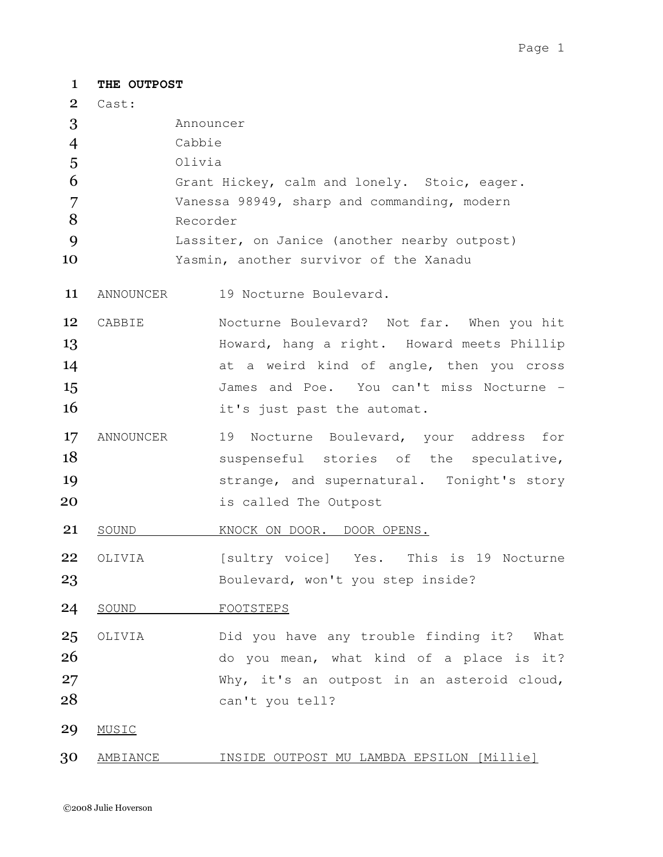| $\mathbf{1}$ | THE OUTPOST                                  |                                              |  |
|--------------|----------------------------------------------|----------------------------------------------|--|
| $\mathbf{2}$ | Cast:                                        |                                              |  |
| 3            | Announcer                                    |                                              |  |
| 4            |                                              | Cabbie                                       |  |
| 5            | Olivia                                       |                                              |  |
| 6            | Grant Hickey, calm and lonely. Stoic, eager. |                                              |  |
| 7            | Vanessa 98949, sharp and commanding, modern  |                                              |  |
| 8            |                                              | Recorder                                     |  |
| 9            |                                              | Lassiter, on Janice (another nearby outpost) |  |
| 10           |                                              | Yasmin, another survivor of the Xanadu       |  |
| 11           | ANNOUNCER                                    | 19 Nocturne Boulevard.                       |  |
| 12           | CABBIE                                       | Nocturne Boulevard? Not far. When you hit    |  |
| 13           |                                              | Howard, hang a right. Howard meets Phillip   |  |
| 14           |                                              | at a weird kind of angle, then you cross     |  |
| 15           |                                              | James and Poe. You can't miss Nocturne -     |  |
| 16           |                                              |                                              |  |
|              |                                              | it's just past the automat.                  |  |
| 17           | ANNOUNCER                                    | 19 Nocturne Boulevard, your address for      |  |
| 18           |                                              | suspenseful stories of the speculative,      |  |
| 19           |                                              | strange, and supernatural. Tonight's story   |  |
| 20           |                                              | is called The Outpost                        |  |
| 21           | SOUND                                        | KNOCK ON DOOR. DOOR OPENS.                   |  |
| 22           | OLIVIA                                       | [sultry voice] Yes. This is 19 Nocturne      |  |
| 23           |                                              | Boulevard, won't you step inside?            |  |
| 24           | SOUND                                        | FOOTSTEPS                                    |  |
| 25           | OLIVIA                                       | Did you have any trouble finding it? What    |  |
| 26           |                                              | do you mean, what kind of a place is it?     |  |
| 27           |                                              | Why, it's an outpost in an asteroid cloud,   |  |
| 28           |                                              | can't you tell?                              |  |
| 29           | MUSIC                                        |                                              |  |
| 30           | AMBIANCE                                     | INSIDE OUTPOST MU LAMBDA EPSILON [Millie]    |  |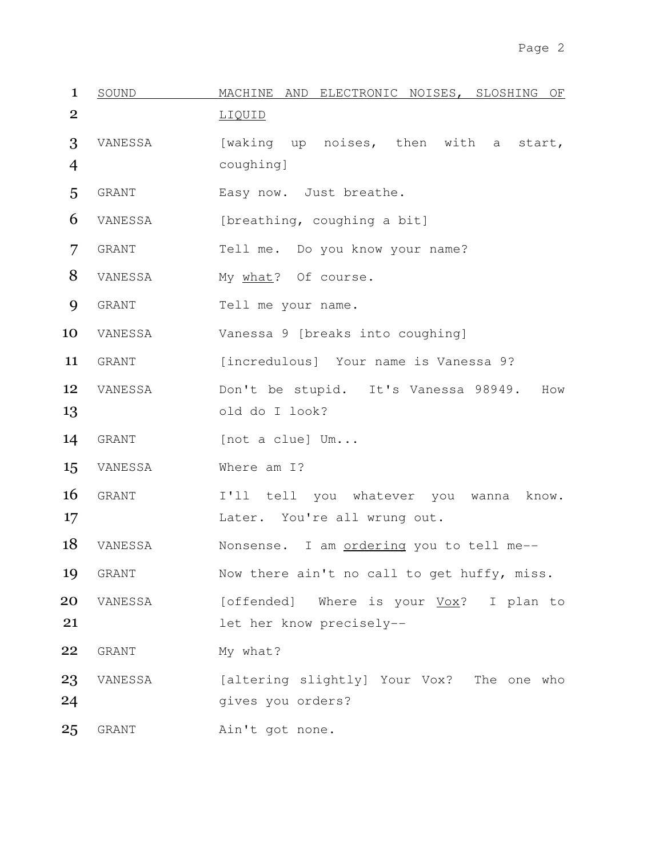| $\mathbf{1}$   | SOUND        | MACHINE AND ELECTRONIC NOISES, SLOSHING OF  |
|----------------|--------------|---------------------------------------------|
| $\overline{2}$ |              | LIQUID                                      |
| 3              | VANESSA      | [waking up noises, then with a<br>start,    |
| $\overline{4}$ |              | coughing]                                   |
| 5              | GRANT        | Easy now. Just breathe.                     |
| 6              | VANESSA      | [breathing, coughing a bit]                 |
| 7              | <b>GRANT</b> | Tell me. Do you know your name?             |
| 8              | VANESSA      | My what? Of course.                         |
| 9              | <b>GRANT</b> | Tell me your name.                          |
| 10             | VANESSA      | Vanessa 9 [breaks into coughing]            |
| 11             | <b>GRANT</b> | [incredulous] Your name is Vanessa 9?       |
| 12             | VANESSA      | Don't be stupid. It's Vanessa 98949.<br>How |
| 13             |              | old do I look?                              |
| 14             | GRANT        | [not a clue] Um                             |
| 15             | VANESSA      | Where am I?                                 |
| 16             | GRANT        | I'll tell you whatever you wanna<br>know.   |
| 17             |              | Later. You're all wrung out.                |
| 18             | VANESSA      | Nonsense. I am ordering you to tell me--    |
| 19             | GRANT        | Now there ain't no call to get huffy, miss. |
| 20             | VANESSA      | [offended] Where is your Vox? I plan to     |
| 21             |              | let her know precisely--                    |
| 22             | GRANT        | My what?                                    |
| 23             | VANESSA      | [altering slightly] Your Vox? The one who   |
| 24             |              | gives you orders?                           |
| 25             | GRANT        | Ain't got none.                             |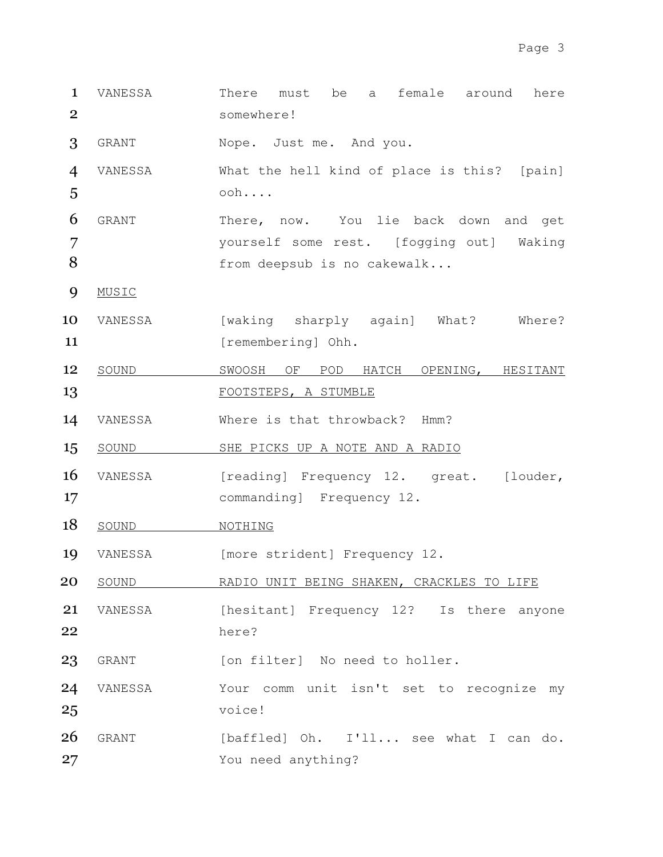1 VANESSA There must be a female around here 2 somewhere!

3 GRANT Nope. Just me. And you.

4 VANESSA What the hell kind of place is this? [pain] 5 ooh....

6 GRANT There, now. You lie back down and get 7 yourself some rest. [fogging out] Waking 8 from deepsub is no cakewalk...

- 9 MUSIC
- 10 VANESSA [waking sharply again] What? Where? 11 [remembering] Ohh.
- 12 SOUND SWOOSH OF POD HATCH OPENING, HESITANT 13 FOOTSTEPS, A STUMBLE
- 14 VANESSA Where is that throwback? Hmm?
- 15 SOUND SHE PICKS UP A NOTE AND A RADIO
- 16 VANESSA [reading] Frequency 12. great. [louder, 17 commanding] Frequency 12.
- 18 SOUND NOTHING
- 19 VANESSA [more strident] Frequency 12.
- 20 SOUND RADIO UNIT BEING SHAKEN, CRACKLES TO LIFE
- 21 VANESSA [hesitant] Frequency 12? Is there anyone 22 here?

23 GRANT [on filter] No need to holler.

- 24 VANESSA Your comm unit isn't set to recognize my 25 voice!
- 26 GRANT [baffled] Oh. I'll... see what I can do. 27 You need anything?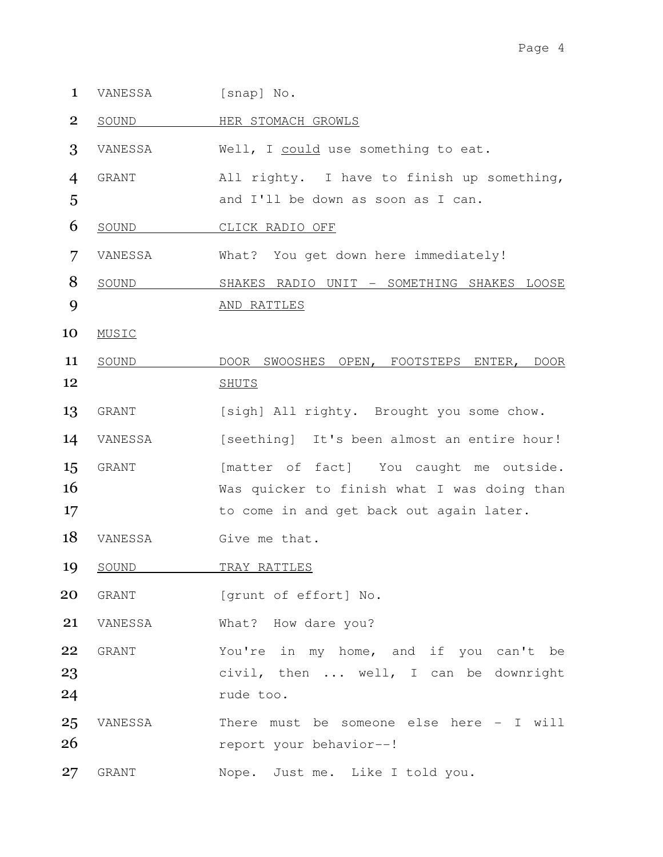- 1 VANESSA [snap] No.
- 2 SOUND HER STOMACH GROWLS

3 VANESSA Well, I could use something to eat.

4 GRANT All righty. I have to finish up something, 5 and I'll be down as soon as I can.

- 6 SOUND CLICK RADIO OFF
- 7 VANESSA What? You get down here immediately!
- 8 SOUND SHAKES RADIO UNIT SOMETHING SHAKES LOOSE 9 AND RATTLES
- 10 MUSIC
- 11 SOUND DOOR SWOOSHES OPEN, FOOTSTEPS ENTER, DOOR 12 SHUTS
- 13 GRANT [sigh] All righty. Brought you some chow.
- 14 VANESSA [seething] It's been almost an entire hour! 15 GRANT [matter of fact] You caught me outside. 16 Was quicker to finish what I was doing than 17 to come in and get back out again later.
- 18 VANESSA Give me that.
- 19 SOUND TRAY RATTLES
- 20 GRANT [grunt of effort] No.

21 VANESSA What? How dare you?

- 22 GRANT You're in my home, and if you can't be 23 civil, then ... well, I can be downright 24 rude too.
- 25 VANESSA There must be someone else here I will 26 report your behavior--!
- 27 GRANT Nope. Just me. Like I told you.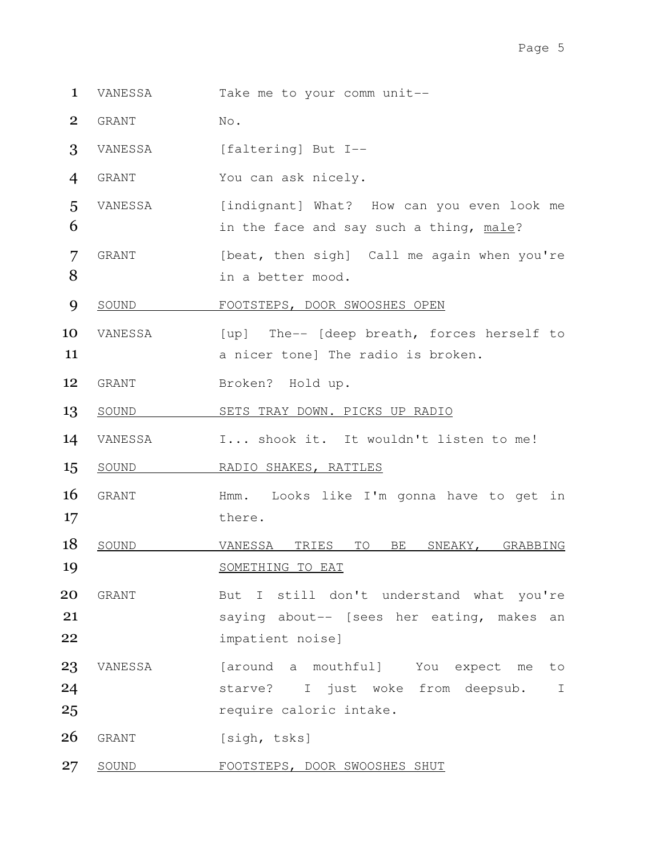- 1 VANESSA Take me to your comm unit--
- 2 GRANT No.
- 3 VANESSA [faltering] But I--
- 4 GRANT You can ask nicely.
- 5 VANESSA [indignant] What? How can you even look me 6 **in the face and say such a thing, male?**
- 7 GRANT [beat, then sigh] Call me again when you're 8 in a better mood.
- 9 SOUND FOOTSTEPS, DOOR SWOOSHES OPEN
- 10 VANESSA [up] The-- [deep breath, forces herself to 11 **11 a** nicer tone] The radio is broken.
- 12 GRANT Broken? Hold up.
- 13 SOUND SETS TRAY DOWN. PICKS UP RADIO
- 14 VANESSA I... shook it. It wouldn't listen to me!
- 15 SOUND RADIO SHAKES, RATTLES
- 16 GRANT Hmm. Looks like I'm gonna have to get in 17 there.
- 18 SOUND VANESSA TRIES TO BE SNEAKY, GRABBING 19 SOMETHING TO EAT
- 20 GRANT But I still don't understand what you're 21 saying about-- [sees her eating, makes an 22 impatient noise]
- 23 VANESSA [around a mouthful] You expect me to 24 starve? I just woke from deepsub. I 25 **25** require caloric intake.
- 26 GRANT [sigh, tsks]
- 27 SOUND FOOTSTEPS, DOOR SWOOSHES SHUT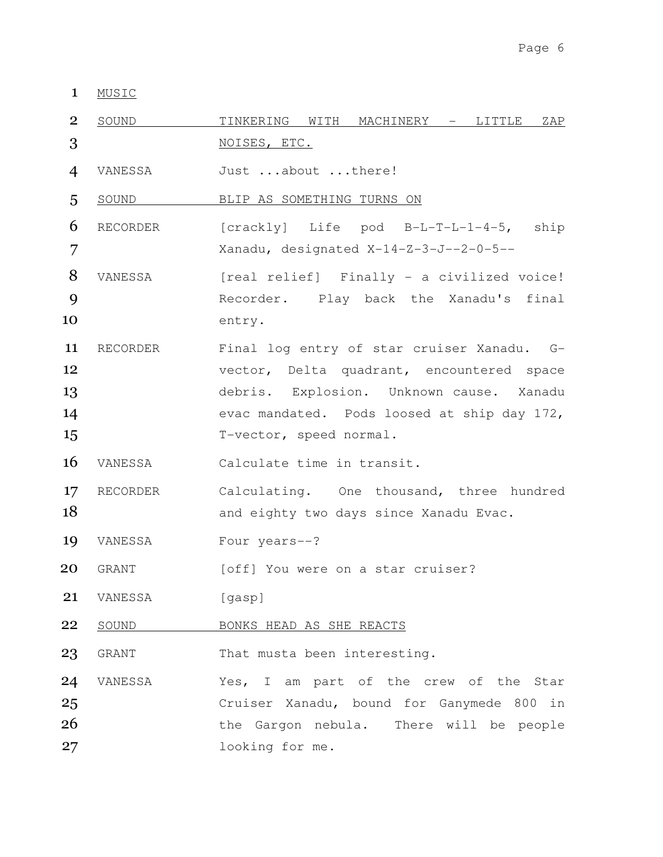MUSIC

| $\overline{2}$ | SOUND        | TINKERING WITH MACHINERY - LITTLE ZAP       |
|----------------|--------------|---------------------------------------------|
| 3              |              | NOISES, ETC.                                |
| $\overline{4}$ | VANESSA      | Just about there!                           |
| 5              | <u>SOUND</u> | BLIP AS SOMETHING TURNS ON                  |
| 6              | RECORDER     | [crackly] Life pod B-L-T-L-1-4-5, ship      |
| 7              |              | Xanadu, designated X-14-Z-3-J--2-0-5--      |
| 8              | VANESSA      | [real relief] Finally - a civilized voice!  |
| 9              |              | Recorder. Play back the Xanadu's final      |
| 10             |              | entry.                                      |
| 11             | RECORDER     | Final log entry of star cruiser Xanadu. G-  |
| 12             |              | vector, Delta quadrant, encountered space   |
| 13             |              | debris. Explosion. Unknown cause. Xanadu    |
| 14             |              | evac mandated. Pods loosed at ship day 172, |
| 15             |              | T-vector, speed normal.                     |
| 16             | VANESSA      | Calculate time in transit.                  |
| 17             | RECORDER     | Calculating. One thousand, three hundred    |
| 18             |              | and eighty two days since Xanadu Evac.      |
| 19             | VANESSA      | Four years--?                               |
| 20             | GRANT        | [off] You were on a star cruiser?           |
| 21             | VANESSA      | [gasp]                                      |
| 22             | SOUND        | BONKS HEAD AS SHE REACTS                    |
| 23             | GRANT        | That musta been interesting.                |
| 24             | VANESSA      | Yes, I am part of the crew of the Star      |
| 25             |              | Cruiser Xanadu, bound for Ganymede 800 in   |
| 26             |              | the Gargon nebula. There will be people     |
| 27             |              | looking for me.                             |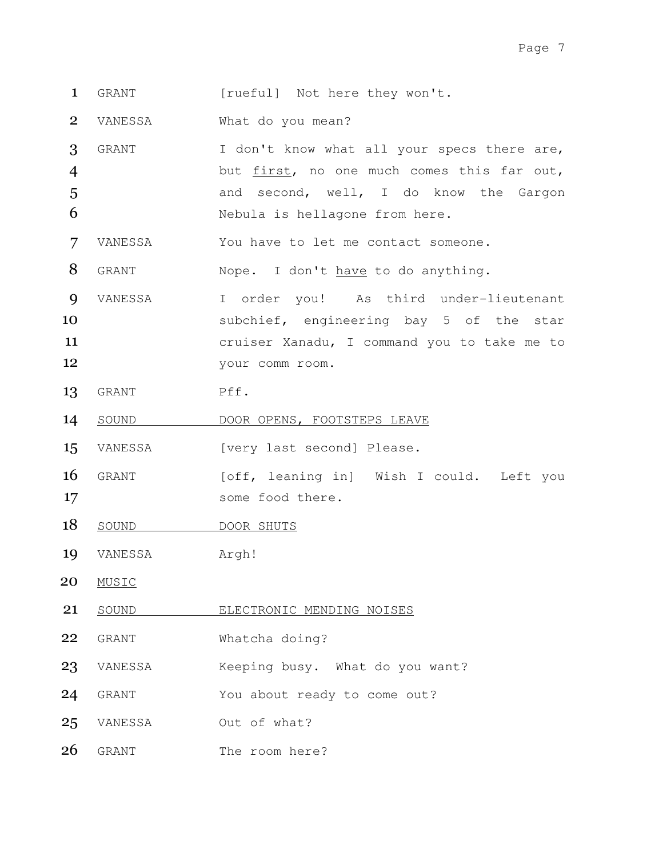- 1 GRANT [rueful] Not here they won't.
- 2 VANESSA What do you mean?
- 3 GRANT I don't know what all your specs there are, 4 but first, no one much comes this far out, 5 and second, well, I do know the Gargon 6 Nebula is hellagone from here.
- 7 VANESSA You have to let me contact someone.
- 8 GRANT Nope. I don't have to do anything.
- 9 VANESSA I order you! As third under-lieutenant 10 subchief, engineering bay 5 of the star 11 cruiser Xanadu, I command you to take me to 12 your comm room.
- 13 GRANT Pff.
- 14 SOUND DOOR OPENS, FOOTSTEPS LEAVE
- 15 VANESSA [very last second] Please.
- 16 GRANT [off, leaning in] Wish I could. Left you 17 some food there.
- 18 SOUND DOOR SHUTS
- 19 VANESSA Argh!
- 20 MUSIC
- 21 SOUND ELECTRONIC MENDING NOISES
- 22 GRANT Whatcha doing?
- 23 VANESSA Keeping busy. What do you want?
- 24 GRANT You about ready to come out?
- 25 VANESSA Out of what?
- 26 GRANT The room here?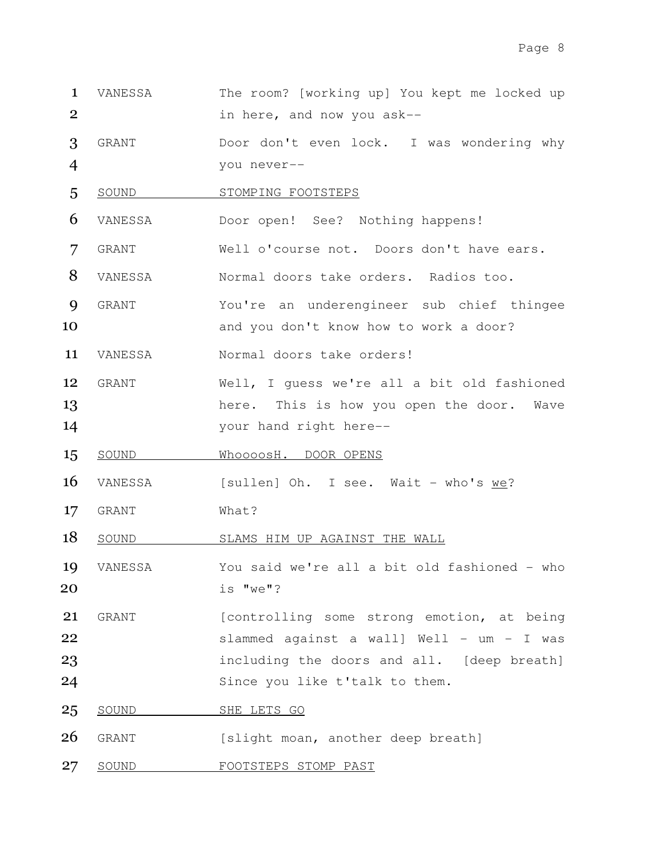- VANESSA The room? [working up] You kept me locked up in here, and now you ask--
- GRANT Door don't even lock. I was wondering why you never--
- 5 SOUND STOMPING FOOTSTEPS
- VANESSA Door open! See? Nothing happens!
- GRANT Well o'course not. Doors don't have ears.
- VANESSA Normal doors take orders. Radios too.
- GRANT You're an underengineer sub chief thingee 10 and you don't know how to work a door?
- VANESSA Normal doors take orders!
- GRANT Well, I guess we're all a bit old fashioned 13 here. This is how you open the door. Wave your hand right here--
- 15 SOUND WhoooosH. DOOR OPENS
- 16 VANESSA [sullen] Oh. I see. Wait who's we?
- 17 GRANT What?
- 18 SOUND SLAMS HIM UP AGAINST THE WALL
- VANESSA You said we're all a bit old fashioned who is "we"?
- GRANT [controlling some strong emotion, at being slammed against a wall] Well - um - I was including the doors and all. [deep breath] Since you like t'talk to them.
- 25 SOUND SHE LETS GO
- 26 GRANT [slight moan, another deep breath]
- 27 SOUND FOOTSTEPS STOMP PAST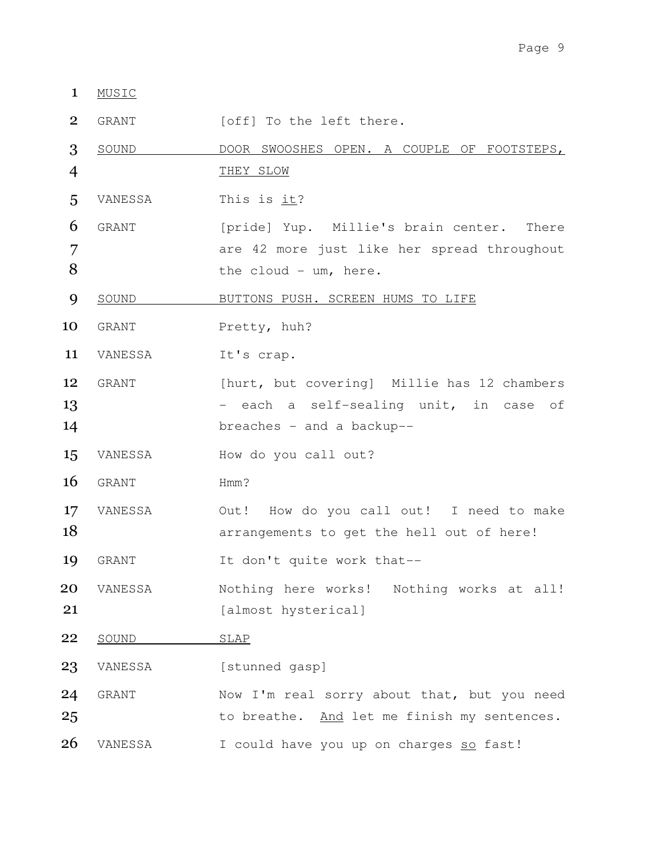## 1 MUSIC

2 GRANT [off] To the left there.

3 SOUND DOOR SWOOSHES OPEN. A COUPLE OF FOOTSTEPS, 4 THEY SLOW 5 VANESSA This is it? 6 GRANT [pride] Yup. Millie's brain center. There 7 are 42 more just like her spread throughout 8 the cloud - um, here. 9 SOUND BUTTONS PUSH. SCREEN HUMS TO LIFE 10 GRANT Pretty, huh? 11 VANESSA It's crap. 12 GRANT [hurt, but covering] Millie has 12 chambers 13 - each a self-sealing unit, in case of 14 **breaches** - and a backup--15 VANESSA How do you call out? 16 GRANT Hmm? 17 VANESSA Out! How do you call out! I need to make 18 **18 arrangements** to get the hell out of here! 19 GRANT It don't quite work that--20 VANESSA Nothing here works! Nothing works at all! 21 [almost hysterical] 22 SOUND SLAP 23 VANESSA [stunned gasp] 24 GRANT Now I'm real sorry about that, but you need 25 to breathe. And let me finish my sentences. 26 VANESSA I could have you up on charges so fast!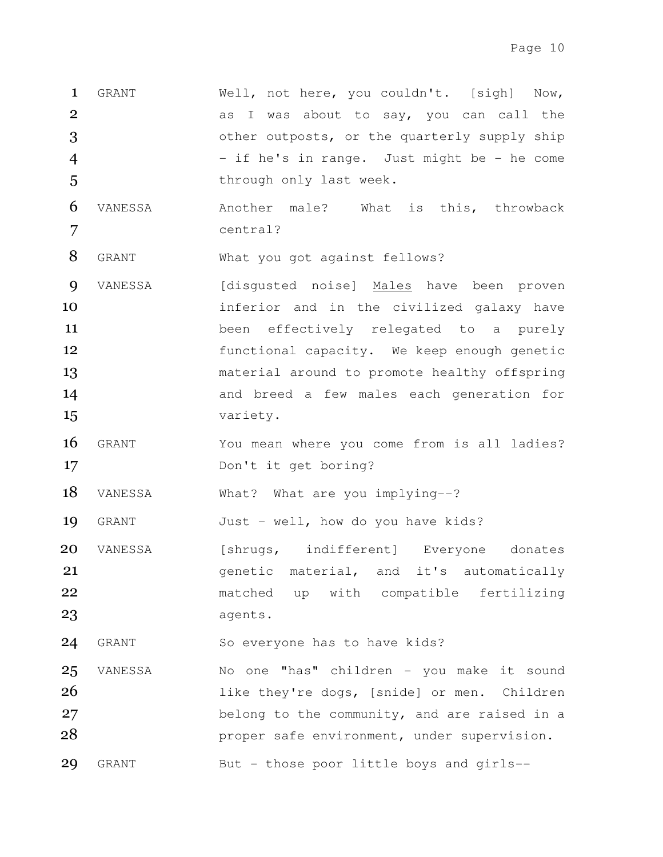- 1 GRANT Well, not here, you couldn't. [sigh] Now, 2 as I was about to say, you can call the 3 **3** other outposts, or the quarterly supply ship 4 - if he's in range. Just might be - he come 5 through only last week.
- 6 VANESSA Another male? What is this, throwback 7 central?

8 GRANT What you got against fellows?

- 9 VANESSA [disgusted noise] Males have been proven 10 **inferior** and in the civilized galaxy have 11 been effectively relegated to a purely 12 **functional capacity.** We keep enough genetic 13 **13** material around to promote healthy offspring 14 and breed a few males each generation for 15 variety.
- 16 GRANT You mean where you come from is all ladies? 17 Don't it get boring?

18 VANESSA What? What are you implying--?

19 GRANT Just - well, how do you have kids?

20 VANESSA [shrugs, indifferent] Everyone donates 21 **21** genetic material, and it's automatically 22 matched up with compatible fertilizing 23 agents.

24 GRANT So everyone has to have kids?

25 VANESSA No one "has" children - you make it sound 26 1ike they're dogs, [snide] or men. Children 27 belong to the community, and are raised in a 28 **proper safe environment, under supervision.** 29 GRANT But - those poor little boys and girls--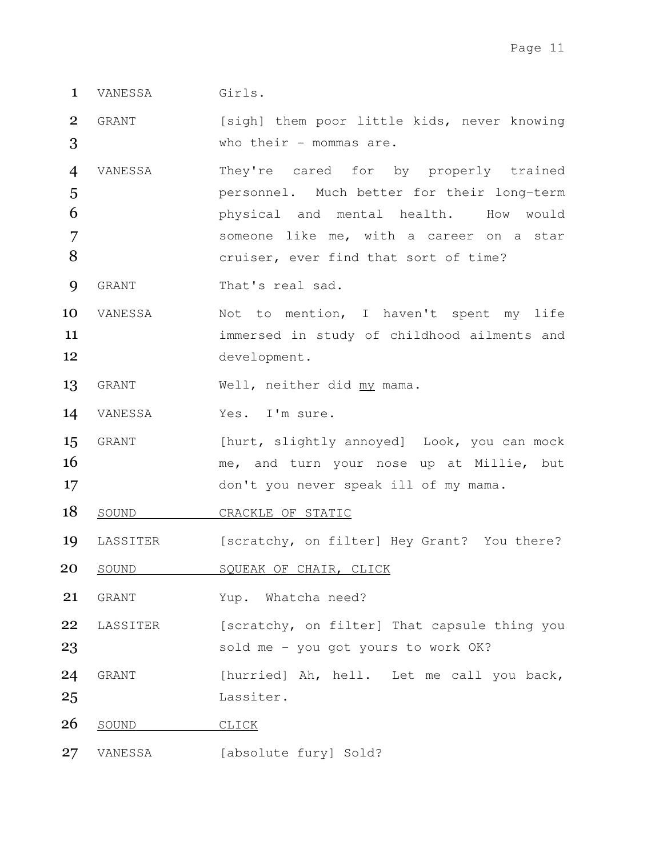1 VANESSA Girls.

2 GRANT [sigh] them poor little kids, never knowing 3 who their - mommas are.

VANESSA They're cared for by properly trained personnel. Much better for their long-term physical and mental health. How would someone like me, with a career on a star **8** cruiser, ever find that sort of time?

- 9 GRANT That's real sad.
- 10 VANESSA Mot to mention, I haven't spent my life 11 immersed in study of childhood ailments and 12 development.
- 13 GRANT Well, neither did my mama.
- 14 VANESSA Yes. I'm sure.
- 15 GRANT [hurt, slightly annoyed] Look, you can mock 16 me, and turn your nose up at Millie, but 17 don't you never speak ill of my mama.
- 18 SOUND CRACKLE OF STATIC
- 19 LASSITER [scratchy, on filter] Hey Grant? You there?
- 20 SOUND SQUEAK OF CHAIR, CLICK

21 GRANT Yup. Whatcha need?

22 LASSITER [scratchy, on filter] That capsule thing you 23 sold me - you got yours to work OK?

- 24 GRANT [hurried] Ah, hell. Let me call you back, 25 Lassiter.
- 26 SOUND CLICK
- 27 VANESSA [absolute fury] Sold?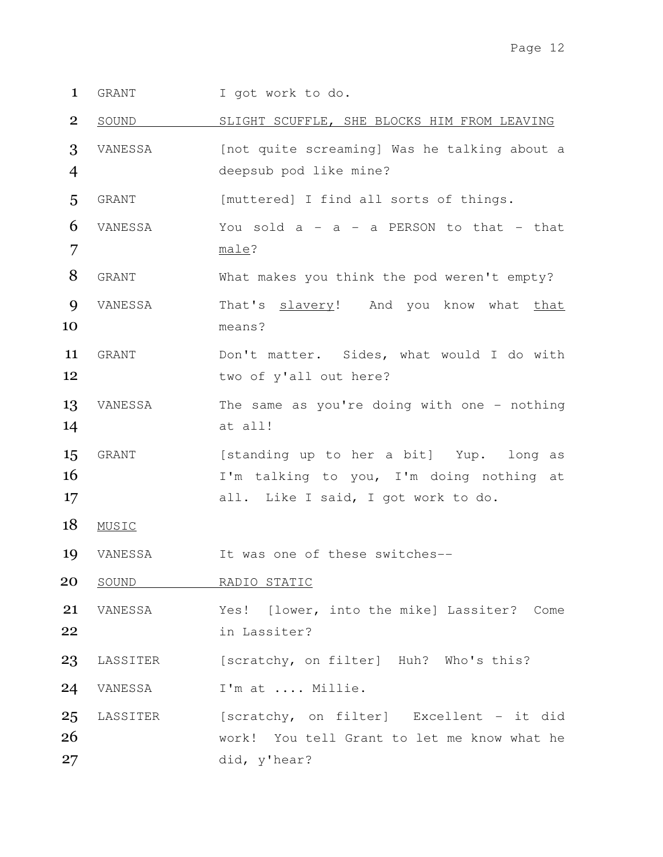1 GRANT I got work to do.

2 SOUND SLIGHT SCUFFLE, SHE BLOCKS HIM FROM LEAVING

3 VANESSA [not quite screaming] Was he talking about a 4 deepsub pod like mine?

5 GRANT [muttered] I find all sorts of things.

- $6$  VANESSA You sold a a a PERSON to that that 7 male?
- 8 GRANT What makes you think the pod weren't empty?
- 9 VANESSA That's slavery! And you know what that 10 means?
- 11 GRANT Don't matter. Sides, what would I do with 12 two of y'all out here?
- 13 VANESSA The same as you're doing with one nothing 14 at all!
- 15 GRANT [standing up to her a bit] Yup. long as 16 I'm talking to you, I'm doing nothing at 17 all. Like I said, I got work to do.
- 18 MUSIC
- 19 VANESSA It was one of these switches--
- 20 SOUND RADIO STATIC
- 21 VANESSA Yes! [lower, into the mike] Lassiter? Come 22 in Lassiter?
- 23 LASSITER [scratchy, on filter] Huh? Who's this?
- 24 VANESSA I'm at .... Millie.
- 25 LASSITER (scratchy, on filter) Excellent it did 26 work! You tell Grant to let me know what he 27 did, y'hear?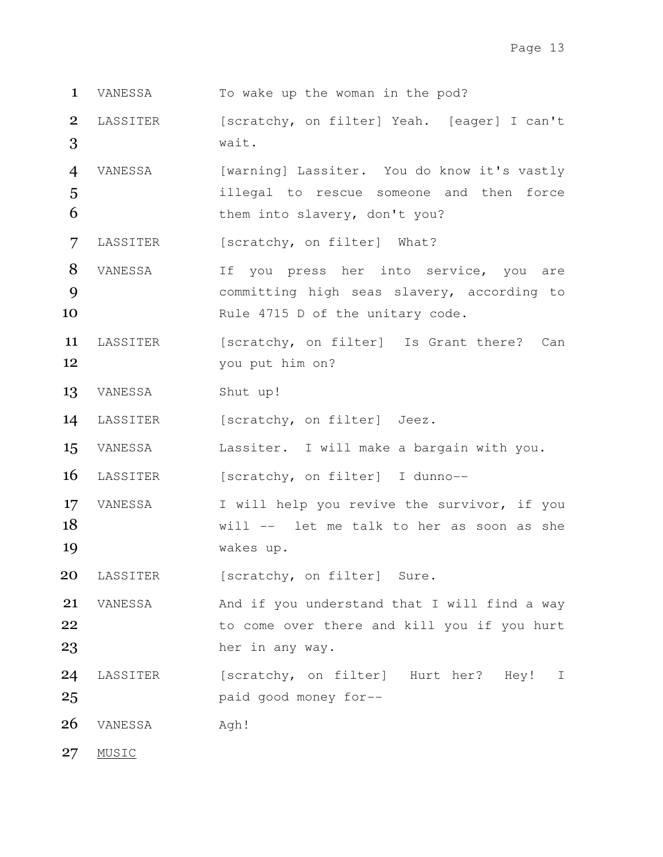- 1 VANESSA To wake up the woman in the pod?
- 2 LASSITER [scratchy, on filter] Yeah. [eager] I can't 3 wait.
- 4 VANESSA [warning] Lassiter. You do know it's vastly 5 illegal to rescue someone and then force 6 them into slavery, don't you?

7 LASSITER [scratchy, on filter] What?

- 8 VANESSA If you press her into service, you are 9 committing high seas slavery, according to 10 Rule 4715 D of the unitary code.
- 11 LASSITER [scratchy, on filter] Is Grant there? Can 12 you put him on?
- 13 VANESSA Shut up!
- 14 LASSITER [scratchy, on filter] Jeez.
- 15 VANESSA Lassiter. I will make a bargain with you.

16 LASSITER [scratchy, on filter] I dunno--

17 VANESSA I will help you revive the survivor, if you 18 Will -- let me talk to her as soon as she 19 wakes up.

20 LASSITER [scratchy, on filter] Sure.

21 VANESSA And if you understand that I will find a way 22 to come over there and kill you if you hurt 23 her in any way.

- 24 LASSITER [scratchy, on filter] Hurt her? Hey! I 25 paid good money for--
- 26 VANESSA Agh!
- 27 MUSIC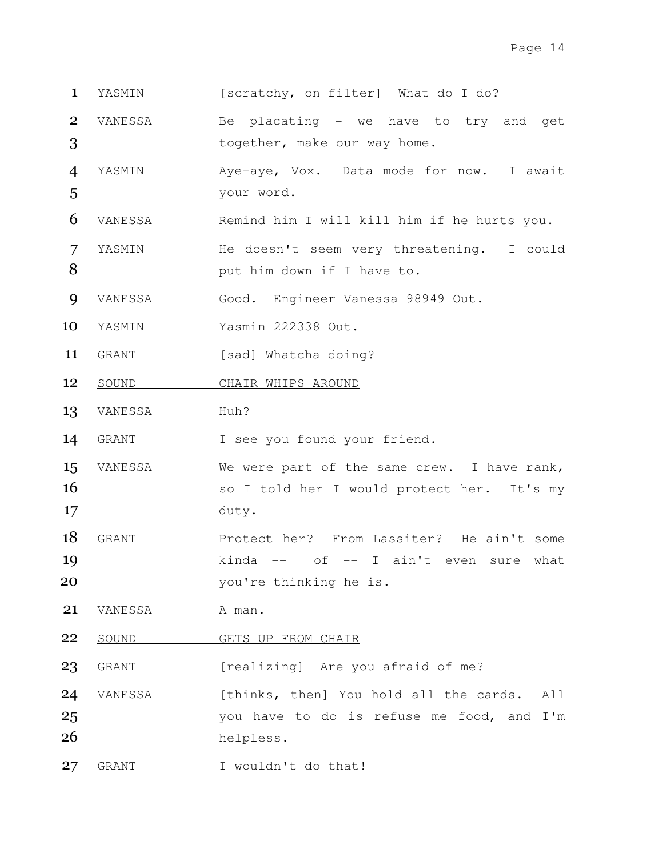- 1 YASMIN [scratchy, on filter] What do I do?
- 2 VANESSA Be placating we have to try and get 3 together, make our way home.
- 4 YASMIN Aye-aye, Vox. Data mode for now. I await 5 your word.
- 6 VANESSA Remind him I will kill him if he hurts you.
- 7 YASMIN He doesn't seem very threatening. I could 8 **8** put him down if I have to.
- 9 VANESSA Good. Engineer Vanessa 98949 Out.
- 10 YASMIN Yasmin 222338 Out.
- 11 GRANT [sad] Whatcha doing?
- 12 SOUND CHAIR WHIPS AROUND
- 13 VANESSA Huh?

14 GRANT I see you found your friend.

- 15 VANESSA We were part of the same crew. I have rank, 16 so I told her I would protect her. It's my 17 duty.
- 18 GRANT Protect her? From Lassiter? He ain't some 19 kinda -- of -- I ain't even sure what 20 you're thinking he is.
- 21 VANESSA A man.
- 22 SOUND GETS UP FROM CHAIR

23 GRANT [realizing] Are you afraid of me?

- 24 VANESSA [thinks, then] You hold all the cards. All 25 vou have to do is refuse me food, and I'm 26 helpless.
- 27 GRANT I wouldn't do that!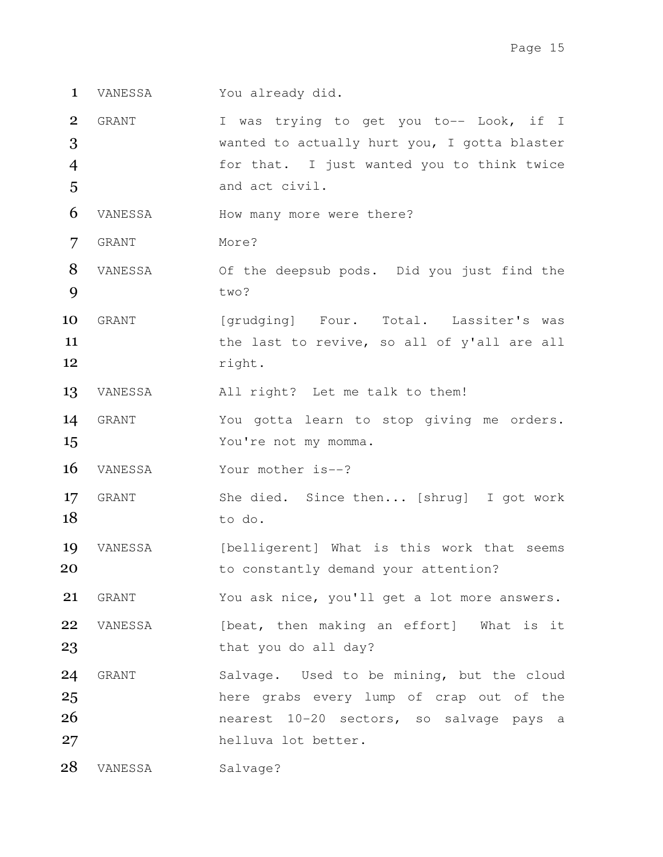- 1 VANESSA You already did.
- 2 GRANT I was trying to get you to-- Look, if I 3 wanted to actually hurt you, I gotta blaster 4 for that. I just wanted you to think twice 5 and act civil.
- 6 VANESSA How many more were there?
- 7 GRANT More?
- 8 VANESSA Of the deepsub pods. Did you just find the 9 two?
- 10 GRANT [grudging] Four. Total. Lassiter's was 11 the last to revive, so all of y'all are all 12 right.
- 13 VANESSA All right? Let me talk to them!
- 14 GRANT You gotta learn to stop giving me orders. 15 You're not my momma.
- 16 VANESSA Your mother is--?
- 17 GRANT She died. Since then... [shrug] I got work 18 to do.
- 19 VANESSA [belligerent] What is this work that seems 20 **b** to constantly demand your attention?
- 21 GRANT You ask nice, you'll get a lot more answers. 22 VANESSA [beat, then making an effort] What is it
- 23 that you do all day?
- 24 GRANT Salvage. Used to be mining, but the cloud 25 here grabs every lump of crap out of the 26 nearest 10-20 sectors, so salvage pays a 27 helluva lot better.
- 28 VANESSA Salvage?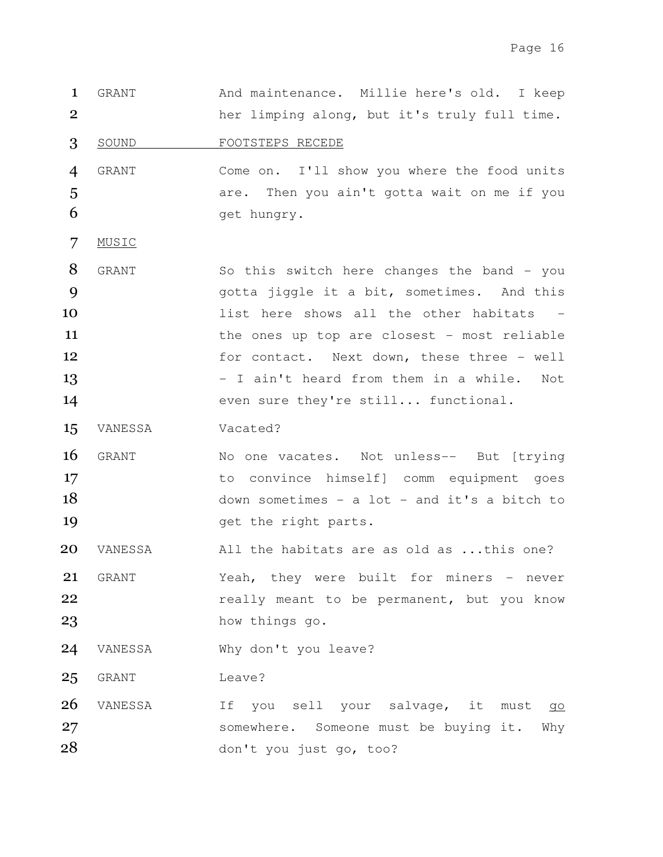1 GRANT And maintenance. Millie here's old. I keep 2 her limping along, but it's truly full time. 3 SOUND FOOTSTEPS RECEDE 4 GRANT Come on. I'll show you where the food units 5 **5** are. Then you ain't gotta wait on me if you 6 get hungry. 7 MUSIC 8 GRANT So this switch here changes the band - you 9 9 gotta jiggle it a bit, sometimes. And this 10 and list here shows all the other habitats 11 the ones up top are closest - most reliable 12 for contact. Next down, these three - well 13 - I ain't heard from them in a while. Not 14 even sure they're still... functional. 15 VANESSA Vacated? 16 GRANT No one vacates. Not unless-- But [trying] 17 to convince himself] comm equipment goes 18 down sometimes - a lot - and it's a bitch to 19 and the right parts. 20 VANESSA All the habitats are as old as ...this one? 21 GRANT Yeah, they were built for miners - never 22 **really meant to be permanent, but you know** 23 how things go. 24 VANESSA Why don't you leave? 25 GRANT Leave? 26 VANESSA 1f you sell your salvage, it must go 27 somewhere. Someone must be buying it. Why 28 don't you just go, too?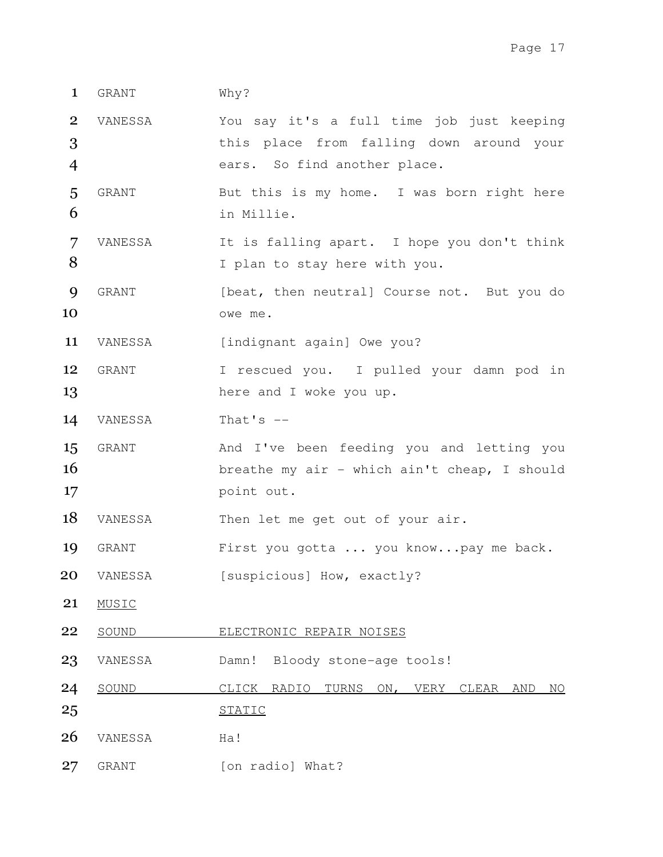## 1 GRANT Why?

2 VANESSA You say it's a full time job just keeping 3 this place from falling down around your 4 ears. So find another place.

5 GRANT But this is my home. I was born right here 6 in Millie.

- 7 VANESSA It is falling apart. I hope you don't think 8 I plan to stay here with you.
- **9** GRANT [beat, then neutral] Course not. But you do 10 owe me.

11 VANESSA [indignant again] Owe you?

- 12 GRANT I rescued you. I pulled your damn pod in 13 here and I woke you up.
- 14 VANESSA That's --
- 15 GRANT Mand I've been feeding you and letting you 16 breathe my air - which ain't cheap, I should 17 point out.

18 VANESSA Then let me get out of your air.

- 19 GRANT First you gotta ... you know...pay me back.
- 20 VANESSA [suspicious] How, exactly?
- 21 MUSIC
- 22 SOUND ELECTRONIC REPAIR NOISES
- 23 VANESSA Damn! Bloody stone-age tools!
- 24 SOUND CLICK RADIO TURNS ON, VERY CLEAR AND NO 25 STATIC
- 26 VANESSA Ha!
- 27 GRANT [on radio] What?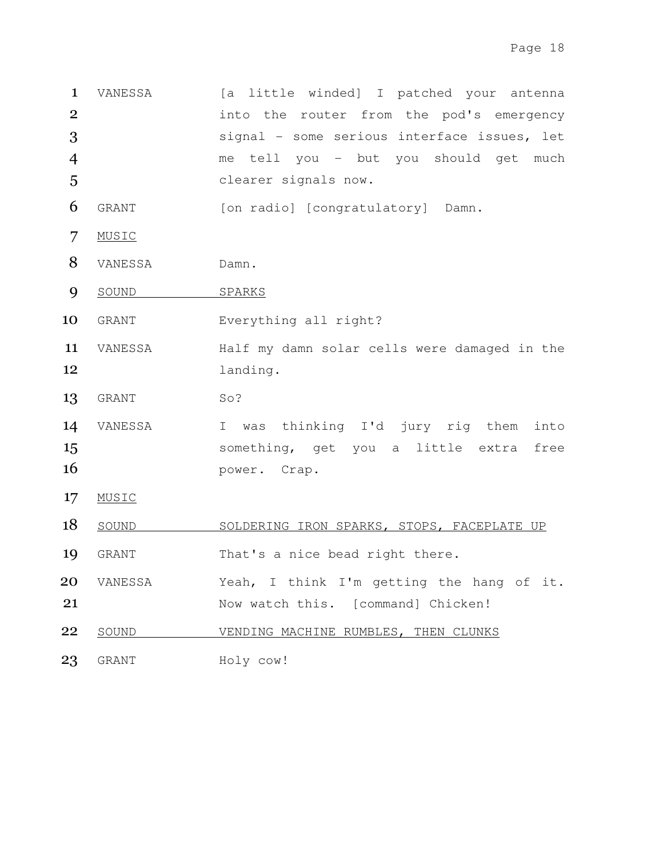1 VANESSA [a little winded] I patched your antenna 2 into the router from the pod's emergency 3 signal - some serious interface issues, let 4 me tell you - but you should get much 5 clearer signals now. 6 GRANT [on radio] [congratulatory] Damn. 7 MUSIC 8 VANESSA Damn. 9 SOUND SPARKS 10 GRANT Everything all right? 11 VANESSA Half my damn solar cells were damaged in the 12 landing. 13 GRANT So? 14 VANESSA I was thinking I'd jury rig them into 15 something, get you a little extra free 16 **power.** Crap. 17 MUSIC 18 SOUND SOLDERING IRON SPARKS, STOPS, FACEPLATE UP 19 GRANT That's a nice bead right there. 20 VANESSA Yeah, I think I'm getting the hang of it. 21 Now watch this. [command] Chicken! 22 SOUND VENDING MACHINE RUMBLES, THEN CLUNKS 23 GRANT Holy cow!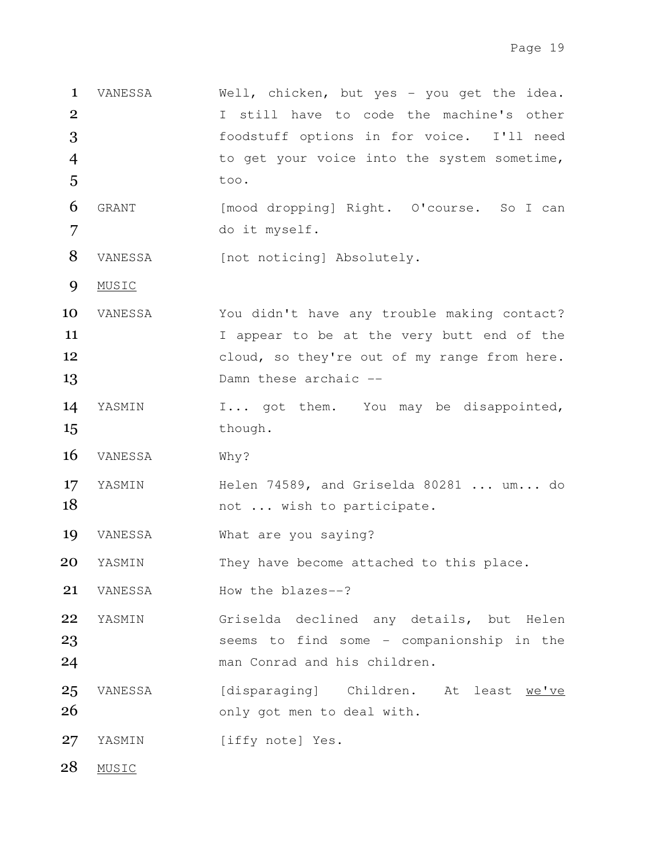VANESSA Well, chicken, but yes - you get the idea. I still have to code the machine's other foodstuff options in for voice. I'll need to get your voice into the system sometime,  $5$  too. GRANT [mood dropping] Right. O'course. So I can do it myself.

8 VANESSA [not noticing] Absolutely.

9 MUSIC

- 10 VANESSA You didn't have any trouble making contact? 11 I appear to be at the very butt end of the 12 cloud, so they're out of my range from here. 13 Damn these archaic --
- 14 YASMIN I... got them. You may be disappointed, 15 though.
- 16 VANESSA Why?
- 17 YASMIN Helen 74589, and Griselda 80281 ... um... do 18 not ... wish to participate.
- 19 VANESSA What are you saying?
- 20 YASMIN They have become attached to this place.
- 21 VANESSA How the blazes--?
- 22 YASMIN Griselda declined any details, but Helen 23 seems to find some - companionship in the 24 man Conrad and his children.
- 25 VANESSA [disparaging] Children. At least we've 26 only got men to deal with.
- 27 YASMIN [iffy note] Yes.

28 MUSIC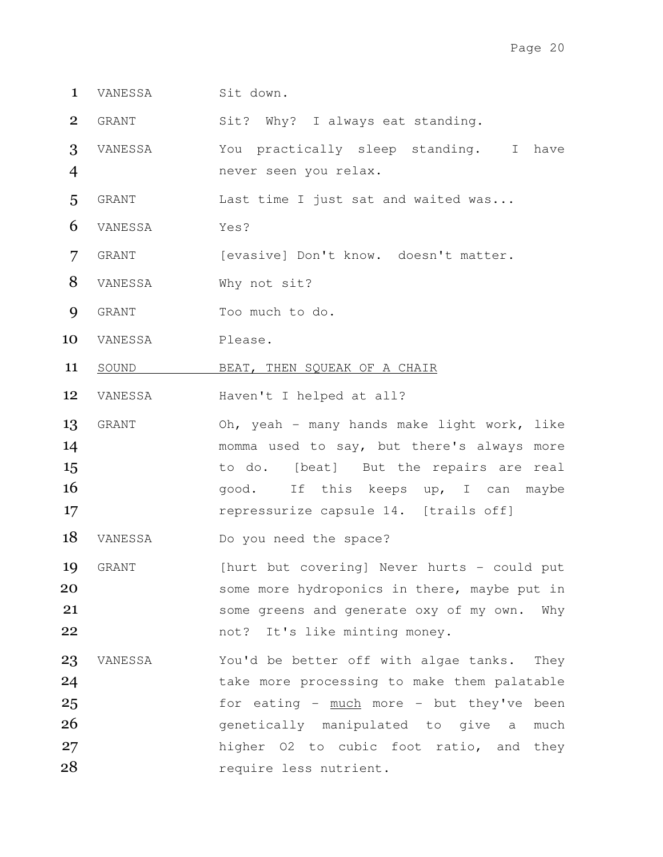- 1 VANESSA Sit down.
- 2 GRANT Sit? Why? I always eat standing.
- 3 VANESSA You practically sleep standing. I have 4 never seen you relax.
- 5 GRANT Last time I just sat and waited was...
- 6 VANESSA Yes?
- 7 GRANT [evasive] Don't know. doesn't matter.
- 8 VANESSA Why not sit?
- 9 GRANT Too much to do.
- 10 VANESSA Please.
- 11 SOUND BEAT, THEN SQUEAK OF A CHAIR
- 12 VANESSA Haven't I helped at all?
- 13 GRANT Oh, yeah many hands make light work, like 14 momma used to say, but there's always more 15 to do. [beat] But the repairs are real 16 agood. If this keeps up, I can maybe 17 **repressurize capsule 14.** [trails off]
- 18 VANESSA Do you need the space?
- 19 GRANT [hurt but covering] Never hurts could put 20 some more hydroponics in there, maybe put in 21 some greens and generate oxy of my own. Why 22 not? It's like minting money.
- 23 VANESSA You'd be better off with algae tanks. They 24 take more processing to make them palatable 25 for eating - much more - but they've been 26 **26** genetically manipulated to give a much 27 higher O2 to cubic foot ratio, and they 28 require less nutrient.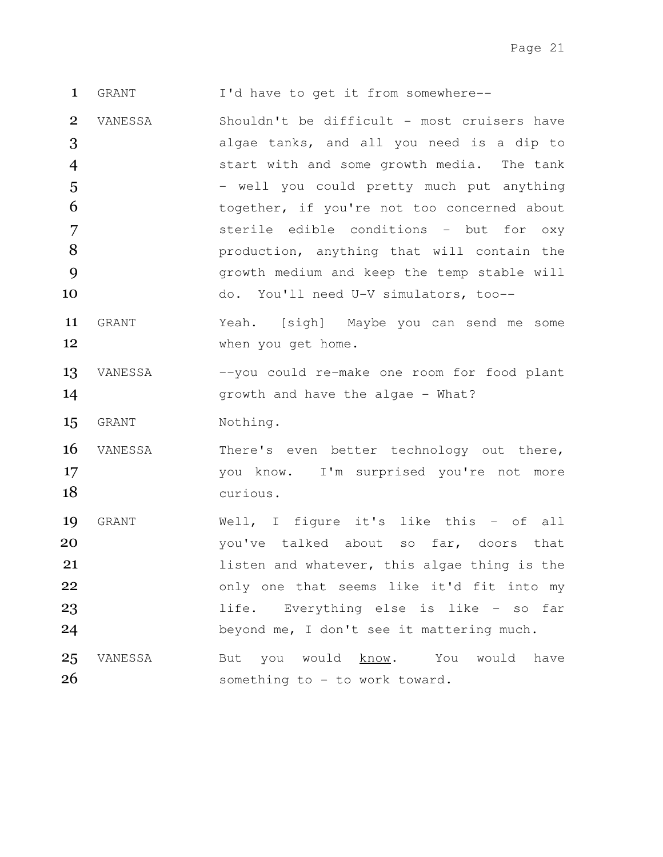1 GRANT I'd have to get it from somewhere--

VANESSA Shouldn't be difficult - most cruisers have algae tanks, and all you need is a dip to start with and some growth media. The tank 5 - well you could pretty much put anything 6 together, if you're not too concerned about sterile edible conditions - but for oxy **8** production, anything that will contain the growth medium and keep the temp stable will do. You'll need U-V simulators, too--

- 11 GRANT Yeah. [sigh] Maybe you can send me some 12 when you get home.
- 13 VANESSA --you could re-make one room for food plant 14 Growth and have the algae - What?
- 15 GRANT Nothing.
- 16 VANESSA There's even better technology out there, 17 17 vou know. I'm surprised you're not more 18 curious.
- 19 GRANT Well, I figure it's like this of all 20 120 vou've talked about so far, doors that 21 **21 listen and whatever, this algae thing is the** 22 only one that seems like it'd fit into my 23 1ife. Everything else is like - so far 24 beyond me, I don't see it mattering much. 25 VANESSA But you would know. You would have
- 26 something to to work toward.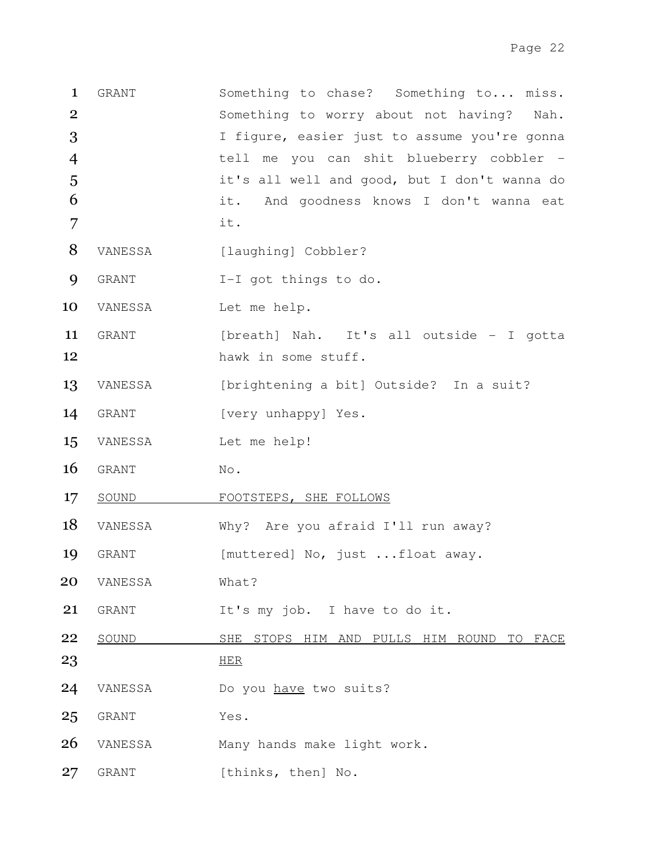1 GRANT Something to chase? Something to... miss. 2 Something to worry about not having? Nah. 3 I figure, easier just to assume you're gonna 4 tell me you can shit blueberry cobbler - 5 it's all well and good, but I don't wanna do 6 it. And goodness knows I don't wanna eat 7 it. 8 VANESSA [laughing] Cobbler? 9 GRANT I-I got things to do. 10 VANESSA Let me help. 11 GRANT [breath] Nah. It's all outside - I gotta 12 hawk in some stuff. 13 VANESSA [brightening a bit] Outside? In a suit? 14 GRANT [very unhappy] Yes. 15 VANESSA Let me help! 16 GRANT No. 17 SOUND FOOTSTEPS, SHE FOLLOWS 18 VANESSA Why? Are you afraid I'll run away? 19 GRANT [muttered] No, just ...float away. 20 VANESSA What? 21 GRANT It's my job. I have to do it. 22 SOUND SHE STOPS HIM AND PULLS HIM ROUND TO FACE  $23$  HER 24 VANESSA Do you have two suits? 25 GRANT Yes. 26 VANESSA Many hands make light work. 27 GRANT [thinks, then] No.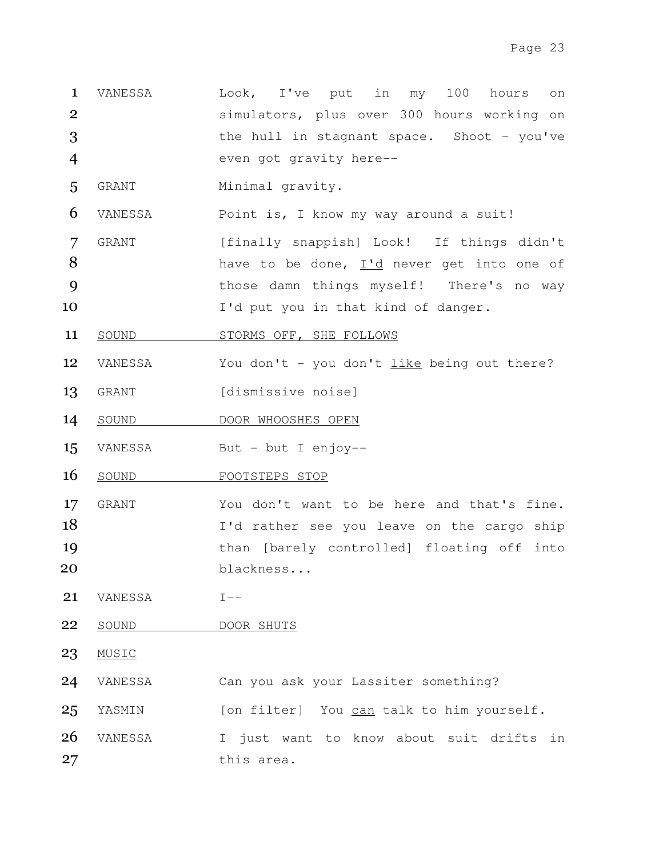- 1 VANESSA Look, I've put in my 100 hours on 2 simulators, plus over 300 hours working on 3 the hull in stagnant space. Shoot - you've 4 even got gravity here--
- 5 GRANT Minimal gravity.
- 6 VANESSA Point is, I know my way around a suit!
- 7 GRANT [finally snappish] Look! If things didn't 8 have to be done, I'd never get into one of 9 those damn things myself! There's no way 10 I'd put you in that kind of danger.
- 11 SOUND STORMS OFF, SHE FOLLOWS
- 12 VANESSA You don't you don't like being out there?
- 13 GRANT [dismissive noise]
- 14 SOUND DOOR WHOOSHES OPEN
- 15 VANESSA But but I enjoy--
- 16 SOUND FOOTSTEPS STOP
- 17 GRANT You don't want to be here and that's fine. 18 I'd rather see you leave on the cargo ship 19 than [barely controlled] floating off into 20 blackness...
- 21 VANESSA I--
- 22 SOUND DOOR SHUTS
- 23 MUSIC
- 24 VANESSA Can you ask your Lassiter something?
- 25 YASMIN [on filter] You can talk to him yourself.
- 26 VANESSA I just want to know about suit drifts in 27 this area.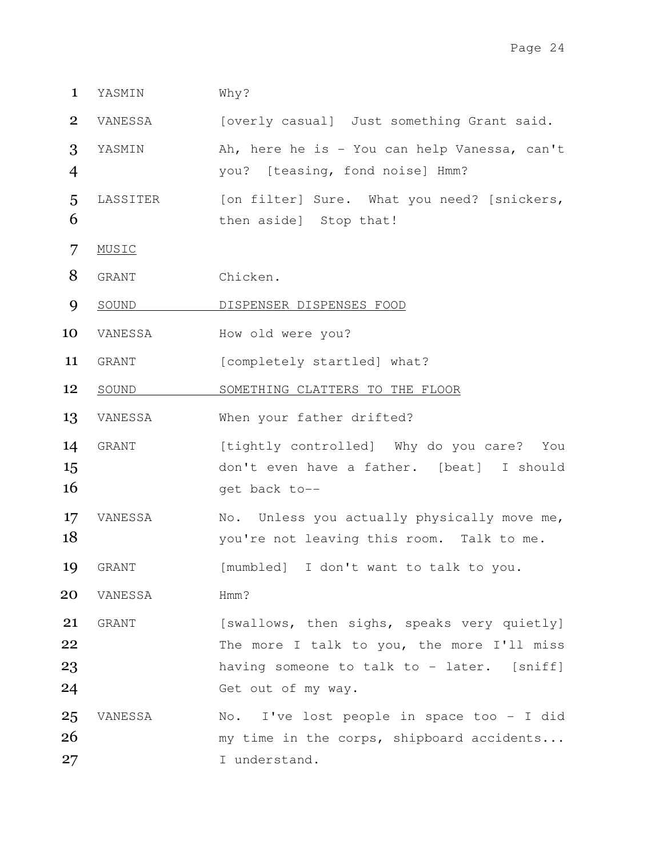1 YASMIN Why?

2 VANESSA [overly casual] Just something Grant said.

- 3 YASMIN Ah, here he is You can help Vanessa, can't 4 you? [teasing, fond noise] Hmm?
- 5 LASSITER [on filter] Sure. What you need? [snickers, 6 then aside] Stop that!
- 7 MUSIC
- 8 GRANT Chicken.
- 9 SOUND DISPENSER DISPENSES FOOD
- 10 VANESSA How old were you?
- 11 GRANT [completely startled] what?
- 12 SOUND SOMETHING CLATTERS TO THE FLOOR
- 13 VANESSA When your father drifted?
- 14 GRANT [tightly controlled] Why do you care? You 15 don't even have a father. [beat] I should  $16$  get back to--
- 17 VANESSA No. Unless you actually physically move me, 18 you're not leaving this room. Talk to me.
- 19 GRANT [mumbled] I don't want to talk to you.
- 20 VANESSA Hmm?
- 21 GRANT [swallows, then sighs, speaks very quietly] 22 The more I talk to you, the more I'll miss 23 having someone to talk to - later. [sniff] 24 Get out of my way.
- 25 VANESSA No. I've lost people in space too I did 26 my time in the corps, shipboard accidents... 27 I understand.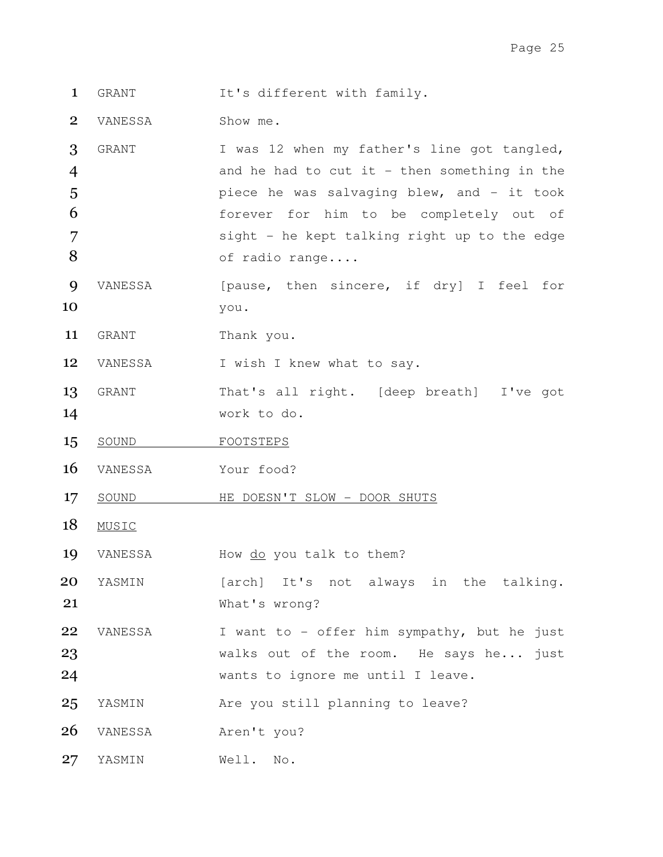1 GRANT It's different with family.

2 VANESSA Show me.

- 3 GRANT I was 12 when my father's line got tangled, 4 and he had to cut it - then something in the 5 **piece he was salvaging blew, and - it took** 6 forever for him to be completely out of 7 sight - he kept talking right up to the edge 8 of radio range....
- 9 VANESSA [pause, then sincere, if dry] I feel for 10 you.
- 11 GRANT Thank you.

12 VANESSA I wish I knew what to say.

- 13 GRANT That's all right. [deep breath] I've got 14 work to do.
- 15 SOUND FOOTSTEPS
- 16 VANESSA Your food?
- 17 SOUND HE DOESN'T SLOW DOOR SHUTS
- 18 MUSIC
- 19 VANESSA How do you talk to them?

20 YASMIN [arch] It's not always in the talking. 21 What's wrong?

- 22 VANESSA I want to offer him sympathy, but he just 23 Walks out of the room. He says he... just 24 wants to ignore me until I leave.
- 25 YASMIN Are you still planning to leave?
- 26 VANESSA Aren't you?
- 27 YASMIN Well. No.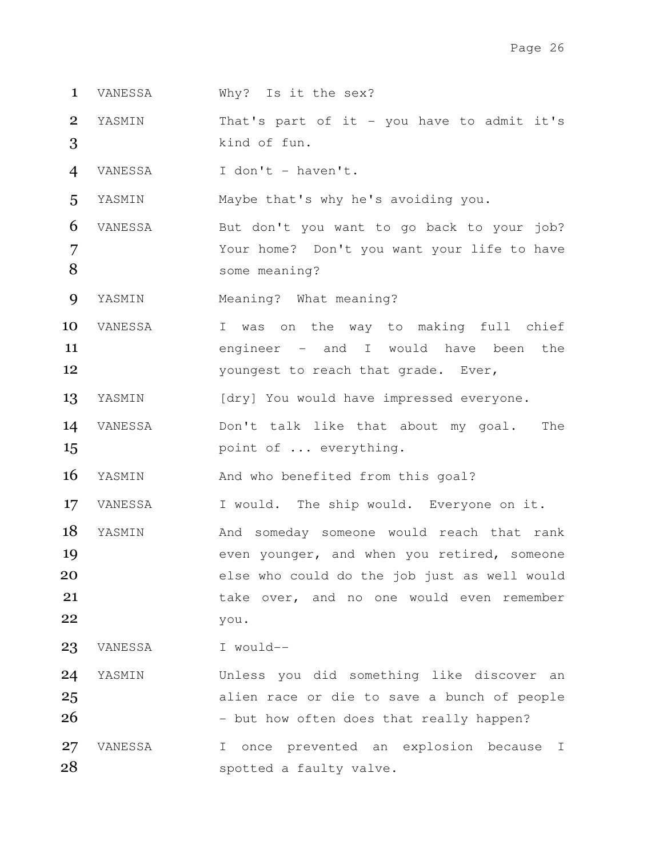- 1 VANESSA Why? Is it the sex?
- 2 YASMIN That's part of it you have to admit it's 3 kind of fun.
- 4 VANESSA I don't haven't.

5 YASMIN Maybe that's why he's avoiding you.

6 VANESSA But don't you want to go back to your job? 7 Your home? Don't you want your life to have 8 some meaning?

9 YASMIN Meaning? What meaning?

- 10 VANESSA I was on the way to making full chief 11 engineer - and I would have been the 12 youngest to reach that grade. Ever,
- 13 YASMIN [dry] You would have impressed everyone.
- 14 VANESSA Don't talk like that about my goal. The 15 **point of ... everything.**

16 YASMIN And who benefited from this goal?

17 VANESSA I would. The ship would. Everyone on it.

- 18 YASMIN Mand someday someone would reach that rank 19 **19** even younger, and when you retired, someone 20 else who could do the job just as well would 21 take over, and no one would even remember 22 you.
- 23 VANESSA I would--

24 YASMIN Unless you did something like discover an 25 alien race or die to save a bunch of people  $26$  - but how often does that really happen?

27 VANESSA I once prevented an explosion because I 28 spotted a faulty valve.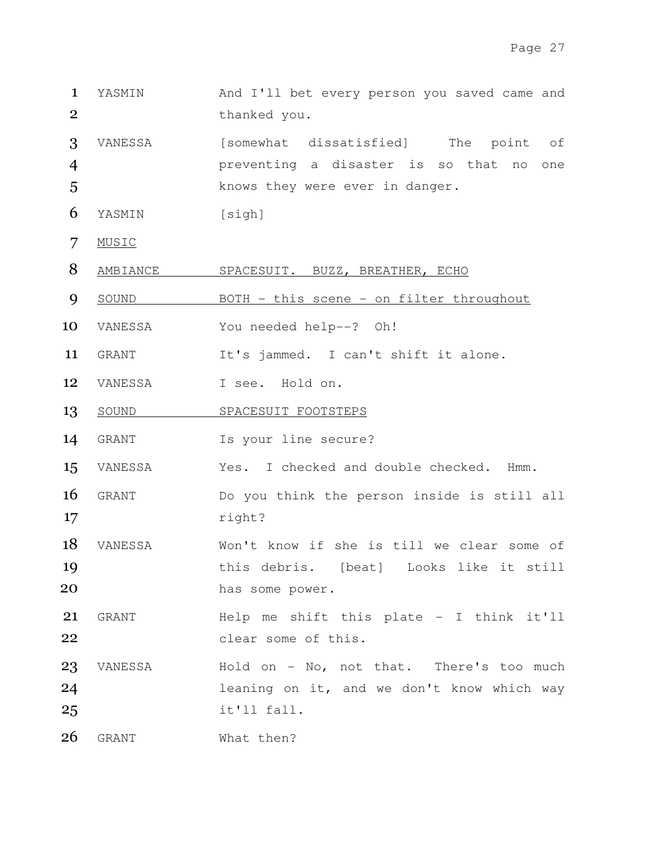- 1 YASMIN And I'll bet every person you saved came and 2 thanked you.
- 3 VANESSA [somewhat dissatisfied] The point of 4 preventing a disaster is so that no one 5 knows they were ever in danger.
- 6 YASMIN [sigh]
- 7 MUSIC
- 8 AMBIANCE SPACESUIT. BUZZ, BREATHER, ECHO
- 9 SOUND BOTH this scene on filter throughout
- 10 VANESSA You needed help--? Oh!
- 11 GRANT It's jammed. I can't shift it alone.
- 12 VANESSA I see. Hold on.
- 13 SOUND SPACESUIT FOOTSTEPS
- 14 GRANT Is your line secure?
- 15 VANESSA Yes. I checked and double checked. Hmm.
- 16 GRANT Do you think the person inside is still all 17 right?
- 18 VANESSA Won't know if she is till we clear some of 19 **this debris.** [beat] Looks like it still 20 has some power.
- 21 GRANT Help me shift this plate I think it'll 22 clear some of this.
- 23 VANESSA Hold on No, not that. There's too much 24 leaning on it, and we don't know which way 25 it'll fall.
- 26 GRANT What then?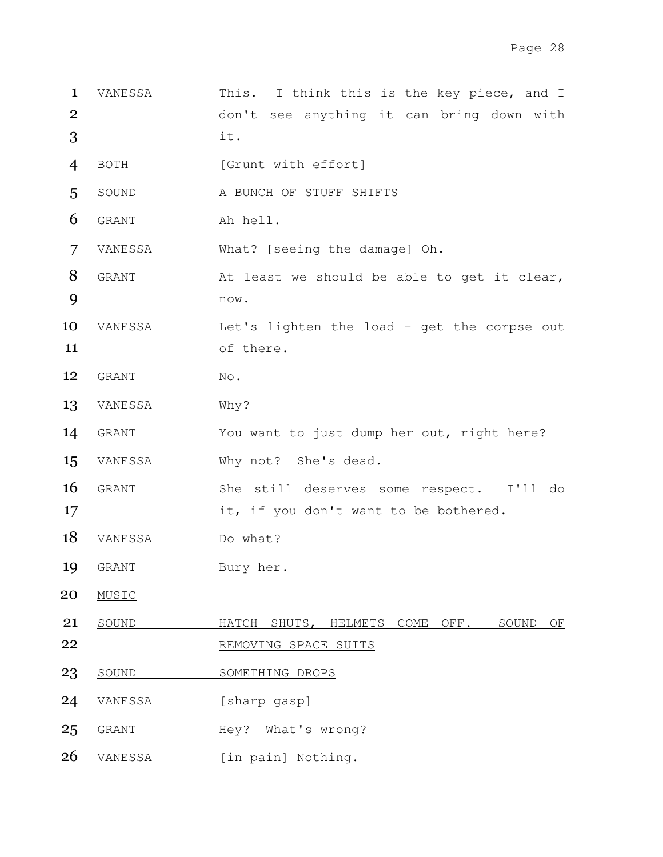- 1 VANESSA This. I think this is the key piece, and I 2 don't see anything it can bring down with  $3$  it.
- 4 BOTH [Grunt with effort]
- 5 SOUND A BUNCH OF STUFF SHIFTS
- 6 GRANT Ah hell.
- 7 VANESSA What? [seeing the damage] Oh.
- 8 GRANT At least we should be able to get it clear, 9 now.
- 10 VANESSA Let's lighten the load get the corpse out 11 of there.
- 12 GRANT No.
- 13 VANESSA Why?
- 14 GRANT You want to just dump her out, right here?
- 15 VANESSA Why not? She's dead.
- 16 GRANT She still deserves some respect. I'll do 17 it, if you don't want to be bothered.
- 18 VANESSA Do what?
- 19 GRANT Bury her.
- 20 MUSIC
- 21 SOUND HATCH SHUTS, HELMETS COME OFF. SOUND OF 22 REMOVING SPACE SUITS
- 23 SOUND SOMETHING DROPS
- 24 VANESSA [sharp gasp]
- 25 GRANT Hey? What's wrong?
- 26 VANESSA [in pain] Nothing.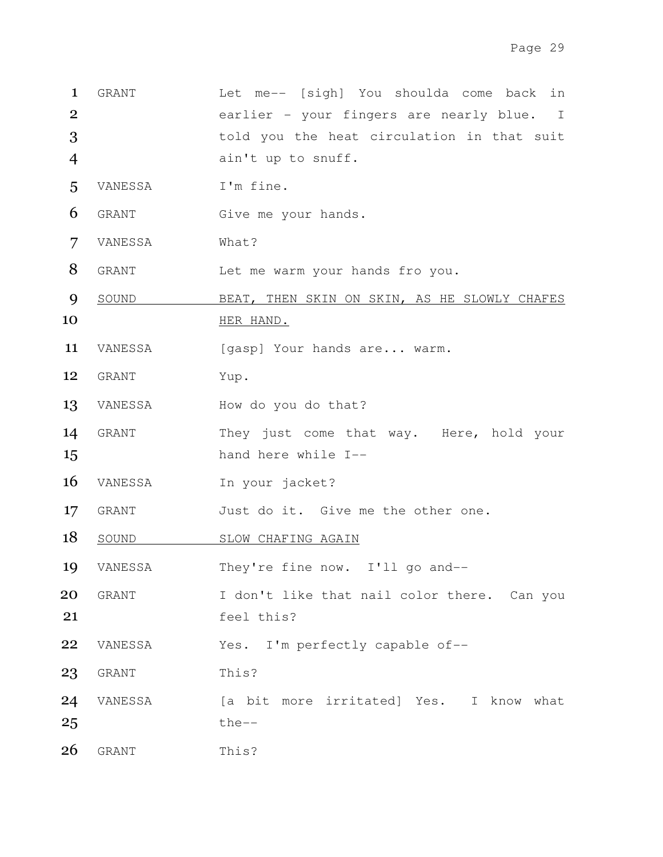| $\mathbf{1}$    | GRANT   | Let me-- [sigh] You shoulda come back<br>in  |
|-----------------|---------|----------------------------------------------|
| $\overline{2}$  |         | earlier - your fingers are nearly blue. I    |
| 3               |         | told you the heat circulation in that suit   |
| 4               |         | ain't up to snuff.                           |
| 5               | VANESSA | I'm fine.                                    |
| 6               | GRANT   | Give me your hands.                          |
| 7               | VANESSA | What?                                        |
| 8               | GRANT   | Let me warm your hands fro you.              |
| 9               | SOUND   | BEAT, THEN SKIN ON SKIN, AS HE SLOWLY CHAFES |
| 10              |         | HER HAND.                                    |
| 11              | VANESSA | [gasp] Your hands are warm.                  |
| 12 <sup>2</sup> | GRANT   | Yup.                                         |
| 13              | VANESSA | How do you do that?                          |
|                 | GRANT   | They just come that way. Here, hold your     |
| 14              |         |                                              |
| 15              |         | hand here while I--                          |
| 16              | VANESSA | In your jacket?                              |
| $17 \,$         | GRANT   | Just do it. Give me the other one.           |
| 18              | SOUND   | SLOW CHAFING AGAIN                           |
| 19              | VANESSA | They're fine now. I'll go and--              |
| 20              | GRANT   | I don't like that nail color there. Can you  |
| 21              |         | feel this?                                   |
| 22              | VANESSA | Yes. I'm perfectly capable of--              |
| 23              | GRANT   | This?                                        |
| 24              | VANESSA | [a bit more irritated] Yes. I know what      |
| 25              |         | $the--$                                      |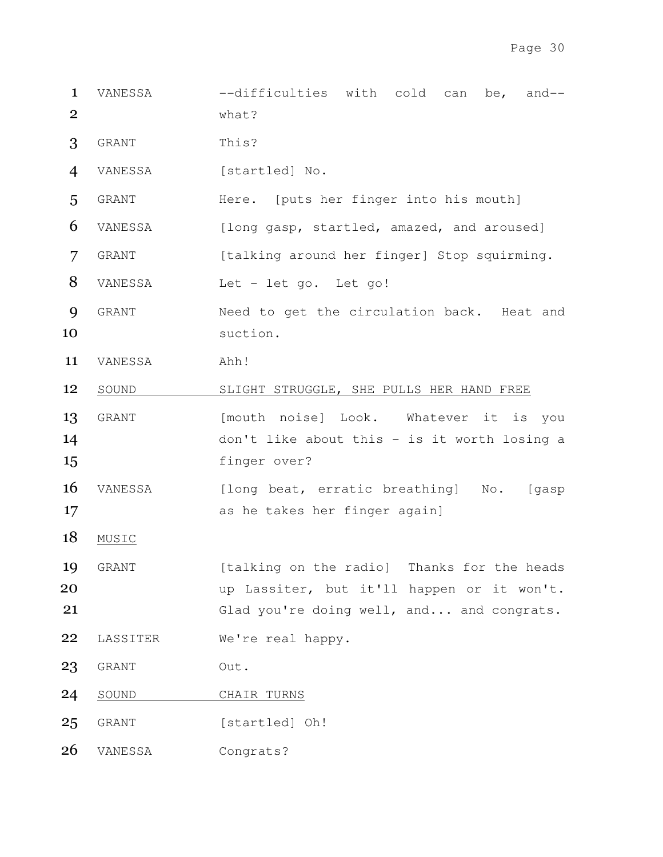- 1 VANESSA --difficulties with cold can be, and-- 2 what?
- 3 GRANT This?
- 4 VANESSA [startled] No.
- 5 GRANT Here. [puts her finger into his mouth]
- 6 VANESSA [long gasp, startled, amazed, and aroused]
- 7 GRANT [talking around her finger] Stop squirming.
- 8 VANESSA Let let go. Let go!
- 9 GRANT Need to get the circulation back. Heat and 10 suction.
- 11 VANESSA Ahh!
- 12 SOUND SLIGHT STRUGGLE, SHE PULLS HER HAND FREE
- 13 GRANT [mouth noise] Look. Whatever it is you 14 don't like about this - is it worth losing a 15 finger over?
- 16 VANESSA [long beat, erratic breathing] No. [gasp 17 as he takes her finger again]
- 18 MUSIC
- 19 GRANT [talking on the radio] Thanks for the heads 20 **20** up Lassiter, but it'll happen or it won't. 21 Glad you're doing well, and... and congrats.
- 22 LASSITER We're real happy.
- 23 GRANT Out.
- 24 SOUND CHAIR TURNS
- 25 GRANT [startled] Oh!
- 26 VANESSA Congrats?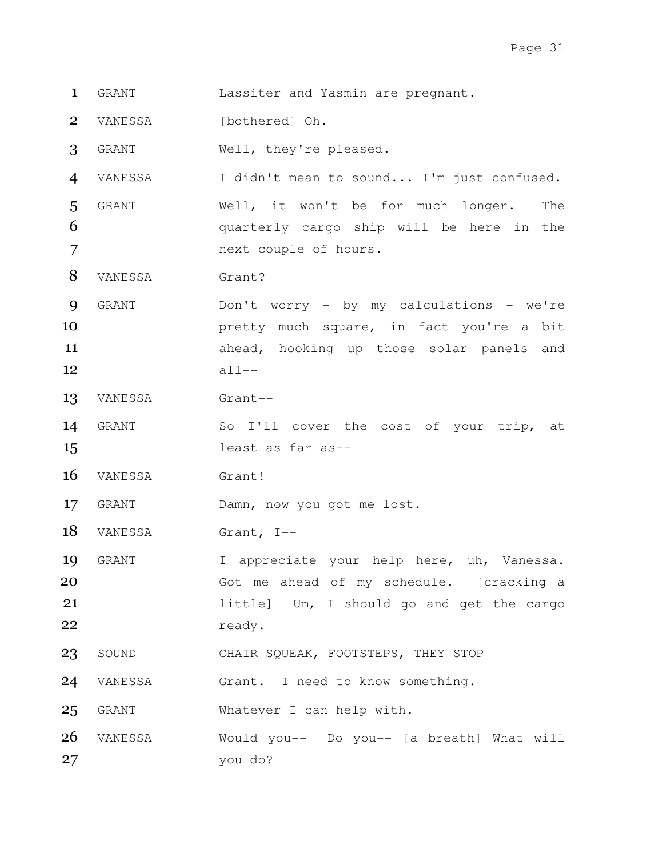- GRANT Lassiter and Yasmin are pregnant.
- 2 VANESSA [bothered] Oh.

GRANT Well, they're pleased.

VANESSA I didn't mean to sound... I'm just confused.

GRANT Well, it won't be for much longer. The 6 6 and quarterly cargo ship will be here in the next couple of hours.

8 VANESSA Grant?

GRANT Don't worry - by my calculations - we're **pretty much square, in fact you're a bit 11** ahead, hooking up those solar panels and all--

- VANESSA Grant--
- GRANT So I'll cover the cost of your trip, at least as far as--

16 VANESSA Grant!

17 GRANT Damn, now you got me lost.

18 VANESSA Grant, I--

19 GRANT I appreciate your help here, uh, Vanessa. 20 Got me ahead of my schedule. [cracking a **little**] Um, I should go and get the cargo 22 ready.

- 23 SOUND CHAIR SQUEAK, FOOTSTEPS, THEY STOP
- VANESSA Grant. I need to know something.

GRANT Whatever I can help with.

VANESSA Would you-- Do you-- [a breath] What will you do?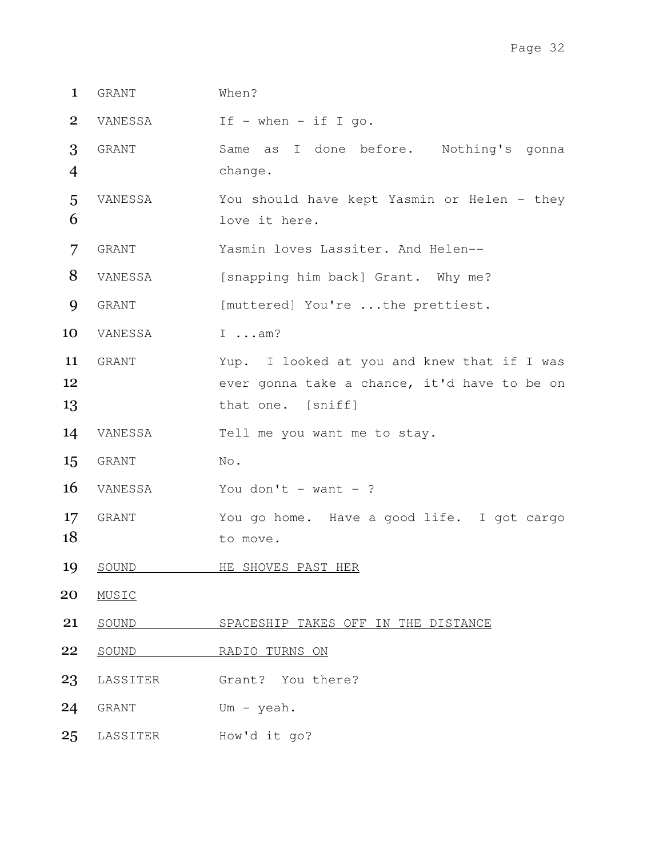| $\mathbf{1}$   | GRANT        | When?                                                                                                            |
|----------------|--------------|------------------------------------------------------------------------------------------------------------------|
| $\overline{2}$ | VANESSA      | If $-$ when $-$ if I go.                                                                                         |
| 3<br>4         | GRANT        | Same as I done before. Nothing's gonna<br>change.                                                                |
| 5<br>6         | VANESSA      | You should have kept Yasmin or Helen - they<br>love it here.                                                     |
| 7              | GRANT        | Yasmin loves Lassiter. And Helen--                                                                               |
| 8              | VANESSA      | [snapping him back] Grant. Why me?                                                                               |
| 9              | GRANT        | [muttered] You're the prettiest.                                                                                 |
| 10             | VANESSA      | $I \dots am?$                                                                                                    |
| 11<br>12<br>13 | <b>GRANT</b> | Yup. I looked at you and knew that if I was<br>ever gonna take a chance, it'd have to be on<br>that one. [sniff] |
| 14             | VANESSA      | Tell me you want me to stay.                                                                                     |
| 15             | GRANT        | No.                                                                                                              |
| 16             | VANESSA      | You don't - want - ?                                                                                             |
| 17<br>18       | GRANT        | You go home. Have a good life. I got cargo<br>to move.                                                           |
| 19             | SOUND        | HE SHOVES PAST HER                                                                                               |
| 20             | MUSIC        |                                                                                                                  |
| 21             | SOUND        | SPACESHIP TAKES OFF IN THE DISTANCE                                                                              |
| 22             | SOUND        | RADIO TURNS ON                                                                                                   |
| 23             | LASSITER     | Grant? You there?                                                                                                |
| 24             | GRANT        | Um - $y$ eah.                                                                                                    |
| 25             | LASSITER     | How'd it go?                                                                                                     |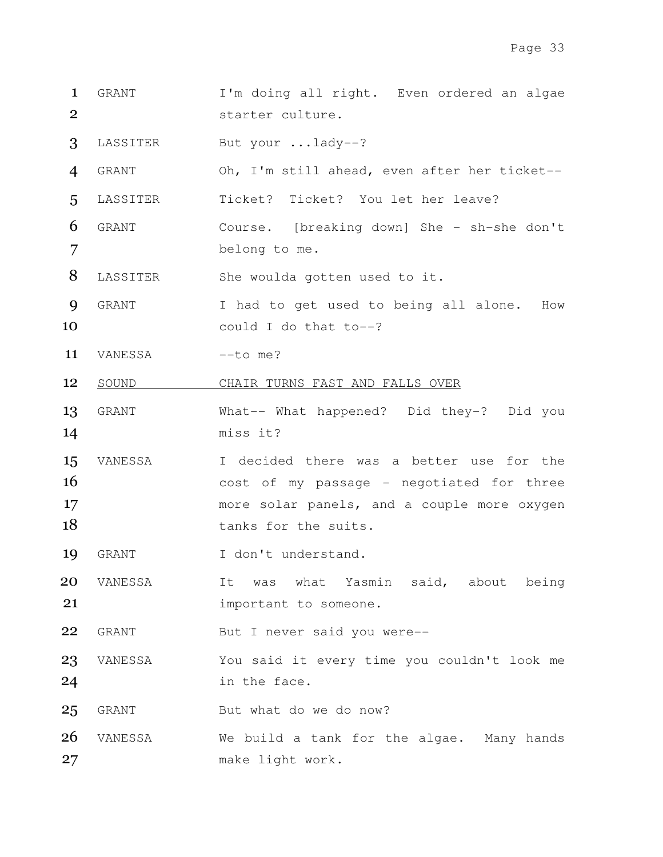- 1 GRANT I'm doing all right. Even ordered an algae starter culture.
- LASSITER But your ...lady--?
- GRANT Oh, I'm still ahead, even after her ticket--
- LASSITER Ticket? Ticket? You let her leave?
- GRANT Course. [breaking down] She sh-she don't belong to me.
- 8 LASSITER She woulda gotten used to it.
- GRANT I had to get used to being all alone. How 10 could I do that to--?
- 11 VANESSA --to me?
- 12 SOUND CHAIR TURNS FAST AND FALLS OVER
- GRANT What-- What happened? Did they-? Did you miss it?
- VANESSA I decided there was a better use for the 16 cost of my passage - negotiated for three more solar panels, and a couple more oxygen 18 tanks for the suits.
- 19 GRANT I don't understand.
- VANESSA It was what Yasmin said, about being **important** to someone.
- GRANT But I never said you were--
- VANESSA You said it every time you couldn't look me in the face.
- 25 GRANT But what do we do now?
- 26 VANESSA We build a tank for the algae. Many hands make light work.